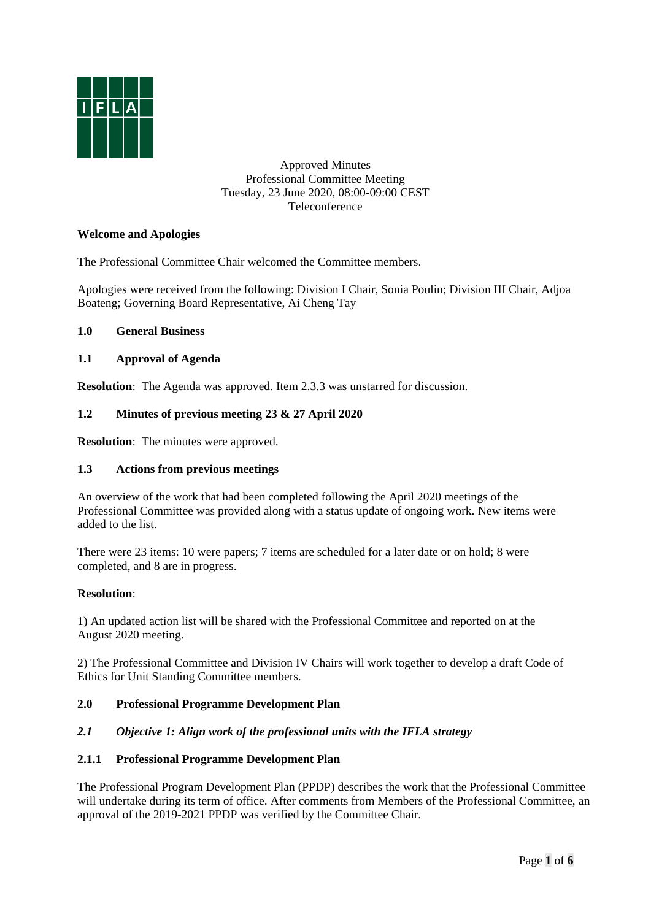

Approved Minutes Professional Committee Meeting Tuesday, 23 June 2020, 08:00-09:00 CEST Teleconference

## **Welcome and Apologies**

The Professional Committee Chair welcomed the Committee members.

Apologies were received from the following: Division I Chair, Sonia Poulin; Division III Chair, Adjoa Boateng; Governing Board Representative, Ai Cheng Tay

### **1.0 General Business**

### **1.1 Approval of Agenda**

**Resolution**: The Agenda was approved. Item 2.3.3 was unstarred for discussion.

### **1.2 Minutes of previous meeting 23 & 27 April 2020**

**Resolution**: The minutes were approved.

### **1.3 Actions from previous meetings**

An overview of the work that had been completed following the April 2020 meetings of the Professional Committee was provided along with a status update of ongoing work. New items were added to the list.

There were 23 items: 10 were papers; 7 items are scheduled for a later date or on hold; 8 were completed, and 8 are in progress.

### **Resolution**:

1) An updated action list will be shared with the Professional Committee and reported on at the August 2020 meeting.

2) The Professional Committee and Division IV Chairs will work together to develop a draft Code of Ethics for Unit Standing Committee members.

### **2.0 Professional Programme Development Plan**

#### *2.1 Objective 1: Align work of the professional units with the IFLA strategy*

### **2.1.1 Professional Programme Development Plan**

The Professional Program Development Plan (PPDP) describes the work that the Professional Committee will undertake during its term of office. After comments from Members of the Professional Committee, an approval of the 2019-2021 PPDP was verified by the Committee Chair.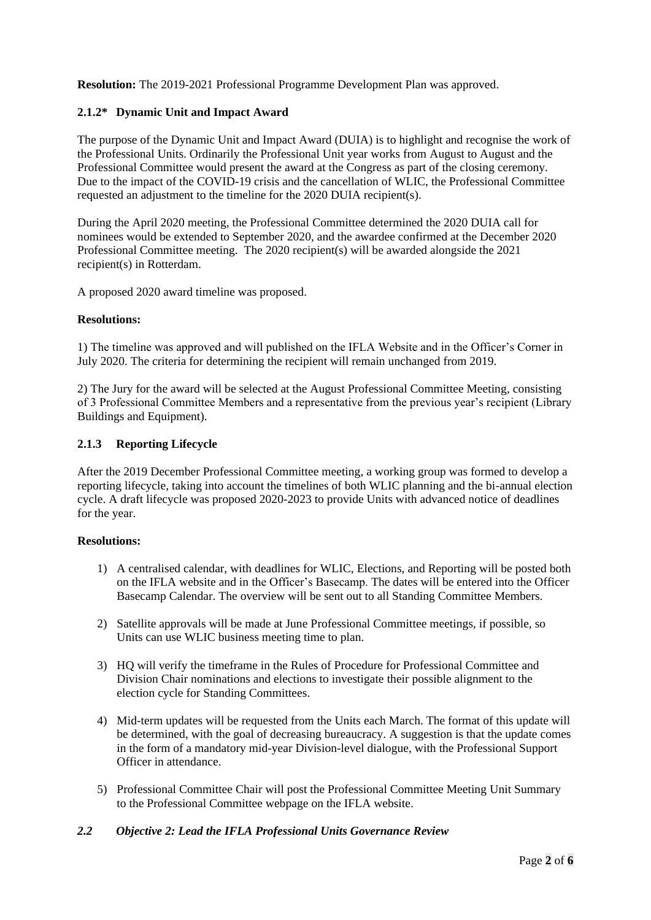**Resolution:** The 2019-2021 Professional Programme Development Plan was approved.

## **2.1.2\* Dynamic Unit and Impact Award**

The purpose of the Dynamic Unit and Impact Award (DUIA) is to highlight and recognise the work of the Professional Units. Ordinarily the Professional Unit year works from August to August and the Professional Committee would present the award at the Congress as part of the closing ceremony. Due to the impact of the COVID-19 crisis and the cancellation of WLIC, the Professional Committee requested an adjustment to the timeline for the 2020 DUIA recipient(s).

During the April 2020 meeting, the Professional Committee determined the 2020 DUIA call for nominees would be extended to September 2020, and the awardee confirmed at the December 2020 Professional Committee meeting. The 2020 recipient(s) will be awarded alongside the 2021 recipient(s) in Rotterdam.

A proposed 2020 award timeline was proposed.

#### **Resolutions:**

1) The timeline was approved and will published on the IFLA Website and in the Officer's Corner in July 2020. The criteria for determining the recipient will remain unchanged from 2019.

2) The Jury for the award will be selected at the August Professional Committee Meeting, consisting of 3 Professional Committee Members and a representative from the previous year's recipient (Library Buildings and Equipment).

### **2.1.3 Reporting Lifecycle**

After the 2019 December Professional Committee meeting, a working group was formed to develop a reporting lifecycle, taking into account the timelines of both WLIC planning and the bi-annual election cycle. A draft lifecycle was proposed 2020-2023 to provide Units with advanced notice of deadlines for the year.

### **Resolutions:**

- 1) A centralised calendar, with deadlines for WLIC, Elections, and Reporting will be posted both on the IFLA website and in the Officer's Basecamp. The dates will be entered into the Officer Basecamp Calendar. The overview will be sent out to all Standing Committee Members.
- 2) Satellite approvals will be made at June Professional Committee meetings, if possible, so Units can use WLIC business meeting time to plan.
- 3) HQ will verify the timeframe in the Rules of Procedure for Professional Committee and Division Chair nominations and elections to investigate their possible alignment to the election cycle for Standing Committees.
- 4) Mid-term updates will be requested from the Units each March. The format of this update will be determined, with the goal of decreasing bureaucracy. A suggestion is that the update comes in the form of a mandatory mid-year Division-level dialogue, with the Professional Support Officer in attendance.
- 5) Professional Committee Chair will post the Professional Committee Meeting Unit Summary to the Professional Committee webpage on the IFLA website.

### *2.2 Objective 2: Lead the IFLA Professional Units Governance Review*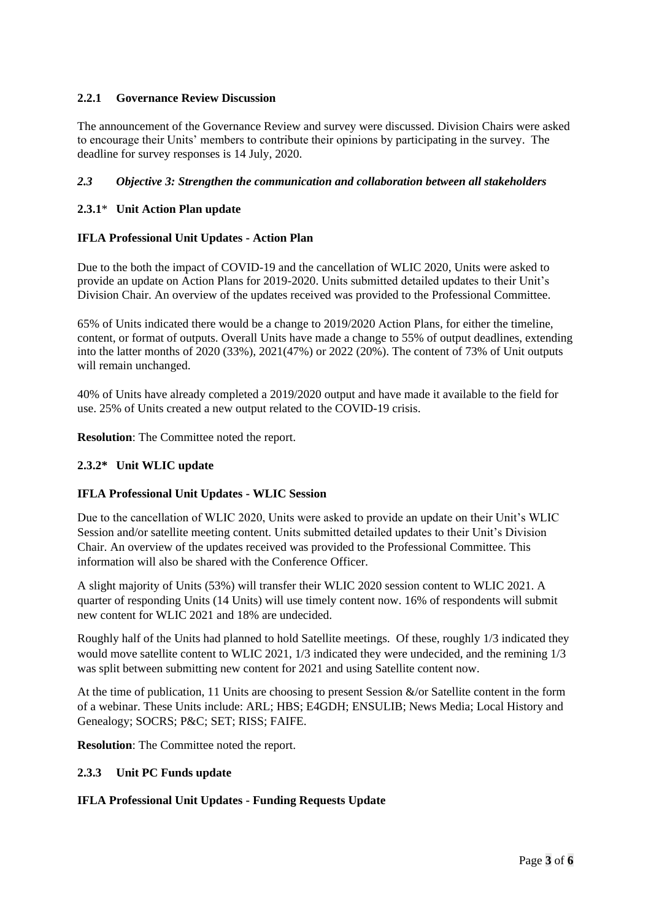# **2.2.1 Governance Review Discussion**

The announcement of the Governance Review and survey were discussed. Division Chairs were asked to encourage their Units' members to contribute their opinions by participating in the survey. The deadline for survey responses is 14 July, 2020.

## *2.3 Objective 3: Strengthen the communication and collaboration between all stakeholders*

## **2.3.1**\* **Unit Action Plan update**

## **IFLA Professional Unit Updates - Action Plan**

Due to the both the impact of COVID-19 and the cancellation of WLIC 2020, Units were asked to provide an update on Action Plans for 2019-2020. Units submitted detailed updates to their Unit's Division Chair. An overview of the updates received was provided to the Professional Committee.

65% of Units indicated there would be a change to 2019/2020 Action Plans, for either the timeline, content, or format of outputs. Overall Units have made a change to 55% of output deadlines, extending into the latter months of 2020 (33%), 2021(47%) or 2022 (20%). The content of 73% of Unit outputs will remain unchanged.

40% of Units have already completed a 2019/2020 output and have made it available to the field for use. 25% of Units created a new output related to the COVID-19 crisis.

**Resolution**: The Committee noted the report.

## **2.3.2\* Unit WLIC update**

### **IFLA Professional Unit Updates - WLIC Session**

Due to the cancellation of WLIC 2020, Units were asked to provide an update on their Unit's WLIC Session and/or satellite meeting content. Units submitted detailed updates to their Unit's Division Chair. An overview of the updates received was provided to the Professional Committee. This information will also be shared with the Conference Officer.

A slight majority of Units (53%) will transfer their WLIC 2020 session content to WLIC 2021. A quarter of responding Units (14 Units) will use timely content now. 16% of respondents will submit new content for WLIC 2021 and 18% are undecided.

Roughly half of the Units had planned to hold Satellite meetings. Of these, roughly 1/3 indicated they would move satellite content to WLIC 2021, 1/3 indicated they were undecided, and the remining 1/3 was split between submitting new content for 2021 and using Satellite content now.

At the time of publication, 11 Units are choosing to present Session &/or Satellite content in the form of a webinar. These Units include: ARL; HBS; E4GDH; ENSULIB; News Media; Local History and Genealogy; SOCRS; P&C; SET; RISS; FAIFE.

**Resolution**: The Committee noted the report.

### **2.3.3 Unit PC Funds update**

### **IFLA Professional Unit Updates - Funding Requests Update**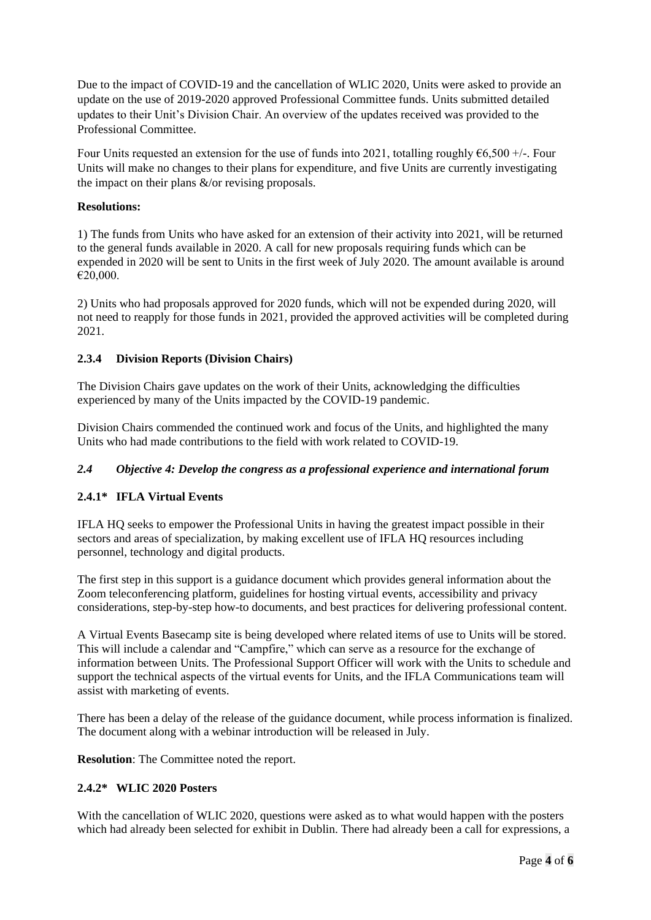Due to the impact of COVID-19 and the cancellation of WLIC 2020, Units were asked to provide an update on the use of 2019-2020 approved Professional Committee funds. Units submitted detailed updates to their Unit's Division Chair. An overview of the updates received was provided to the Professional Committee.

Four Units requested an extension for the use of funds into 2021, totalling roughly  $66,500 +/$ . Four Units will make no changes to their plans for expenditure, and five Units are currently investigating the impact on their plans &/or revising proposals.

## **Resolutions:**

1) The funds from Units who have asked for an extension of their activity into 2021, will be returned to the general funds available in 2020. A call for new proposals requiring funds which can be expended in 2020 will be sent to Units in the first week of July 2020. The amount available is around €20,000.

2) Units who had proposals approved for 2020 funds, which will not be expended during 2020, will not need to reapply for those funds in 2021, provided the approved activities will be completed during 2021.

## **2.3.4 Division Reports (Division Chairs)**

The Division Chairs gave updates on the work of their Units, acknowledging the difficulties experienced by many of the Units impacted by the COVID-19 pandemic.

Division Chairs commended the continued work and focus of the Units, and highlighted the many Units who had made contributions to the field with work related to COVID-19.

# *2.4 Objective 4: Develop the congress as a professional experience and international forum*

# **2.4.1\* IFLA Virtual Events**

IFLA HQ seeks to empower the Professional Units in having the greatest impact possible in their sectors and areas of specialization, by making excellent use of IFLA HQ resources including personnel, technology and digital products.

The first step in this support is a guidance document which provides general information about the Zoom teleconferencing platform, guidelines for hosting virtual events, accessibility and privacy considerations, step-by-step how-to documents, and best practices for delivering professional content.

A Virtual Events Basecamp site is being developed where related items of use to Units will be stored. This will include a calendar and "Campfire," which can serve as a resource for the exchange of information between Units. The Professional Support Officer will work with the Units to schedule and support the technical aspects of the virtual events for Units, and the IFLA Communications team will assist with marketing of events.

There has been a delay of the release of the guidance document, while process information is finalized. The document along with a webinar introduction will be released in July.

**Resolution**: The Committee noted the report.

### **2.4.2\* WLIC 2020 Posters**

With the cancellation of WLIC 2020, questions were asked as to what would happen with the posters which had already been selected for exhibit in Dublin. There had already been a call for expressions, a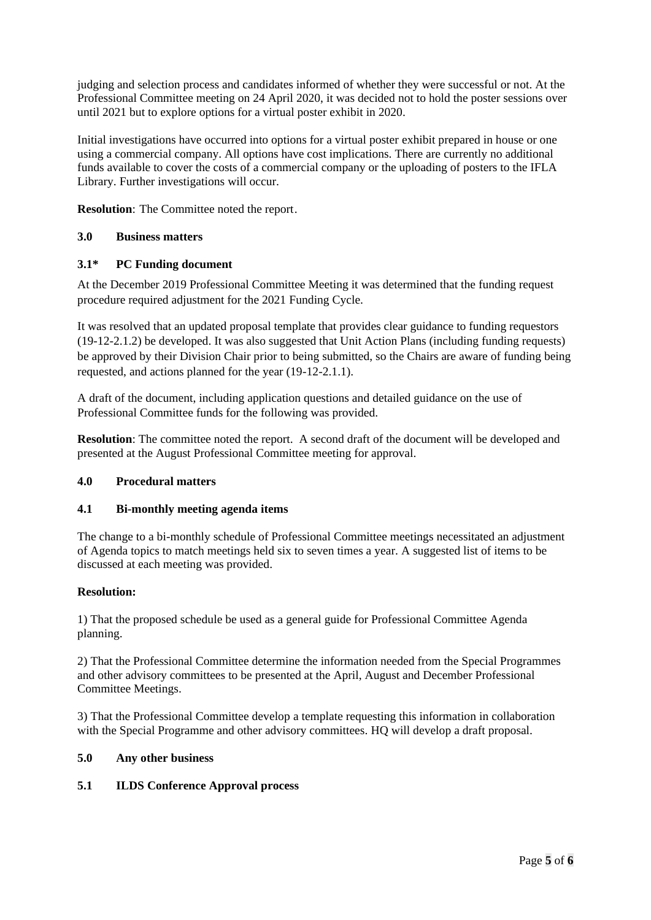judging and selection process and candidates informed of whether they were successful or not. At the Professional Committee meeting on 24 April 2020, it was decided not to hold the poster sessions over until 2021 but to explore options for a virtual poster exhibit in 2020.

Initial investigations have occurred into options for a virtual poster exhibit prepared in house or one using a commercial company. All options have cost implications. There are currently no additional funds available to cover the costs of a commercial company or the uploading of posters to the IFLA Library. Further investigations will occur.

**Resolution**: The Committee noted the report.

## **3.0 Business matters**

## **3.1\* PC Funding document**

At the December 2019 Professional Committee Meeting it was determined that the funding request procedure required adjustment for the 2021 Funding Cycle.

It was resolved that an updated proposal template that provides clear guidance to funding requestors (19-12-2.1.2) be developed. It was also suggested that Unit Action Plans (including funding requests) be approved by their Division Chair prior to being submitted, so the Chairs are aware of funding being requested, and actions planned for the year (19-12-2.1.1).

A draft of the document, including application questions and detailed guidance on the use of Professional Committee funds for the following was provided.

**Resolution**: The committee noted the report. A second draft of the document will be developed and presented at the August Professional Committee meeting for approval.

### **4.0 Procedural matters**

### **4.1 Bi-monthly meeting agenda items**

The change to a bi-monthly schedule of Professional Committee meetings necessitated an adjustment of Agenda topics to match meetings held six to seven times a year. A suggested list of items to be discussed at each meeting was provided.

### **Resolution:**

1) That the proposed schedule be used as a general guide for Professional Committee Agenda planning.

2) That the Professional Committee determine the information needed from the Special Programmes and other advisory committees to be presented at the April, August and December Professional Committee Meetings.

3) That the Professional Committee develop a template requesting this information in collaboration with the Special Programme and other advisory committees. HQ will develop a draft proposal.

### **5.0 Any other business**

### **5.1 ILDS Conference Approval process**